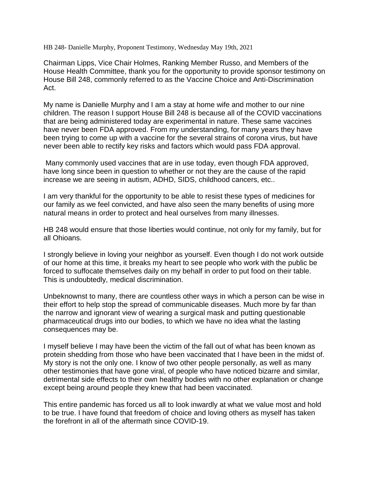HB 248- Danielle Murphy, Proponent Testimony, Wednesday May 19th, 2021

Chairman Lipps, Vice Chair Holmes, Ranking Member Russo, and Members of the House Health Committee, thank you for the opportunity to provide sponsor testimony on House Bill 248, commonly referred to as the Vaccine Choice and Anti-Discrimination Act.

My name is Danielle Murphy and I am a stay at home wife and mother to our nine children. The reason I support House Bill 248 is because all of the COVID vaccinations that are being administered today are experimental in nature. These same vaccines have never been FDA approved. From my understanding, for many years they have been trying to come up with a vaccine for the several strains of corona virus, but have never been able to rectify key risks and factors which would pass FDA approval.

Many commonly used vaccines that are in use today, even though FDA approved, have long since been in question to whether or not they are the cause of the rapid increase we are seeing in autism, ADHD, SIDS, childhood cancers, etc..

I am very thankful for the opportunity to be able to resist these types of medicines for our family as we feel convicted, and have also seen the many benefits of using more natural means in order to protect and heal ourselves from many illnesses.

HB 248 would ensure that those liberties would continue, not only for my family, but for all Ohioans.

I strongly believe in loving your neighbor as yourself. Even though I do not work outside of our home at this time, it breaks my heart to see people who work with the public be forced to suffocate themselves daily on my behalf in order to put food on their table. This is undoubtedly, medical discrimination.

Unbeknownst to many, there are countless other ways in which a person can be wise in their effort to help stop the spread of communicable diseases. Much more by far than the narrow and ignorant view of wearing a surgical mask and putting questionable pharmaceutical drugs into our bodies, to which we have no idea what the lasting consequences may be.

I myself believe I may have been the victim of the fall out of what has been known as protein shedding from those who have been vaccinated that I have been in the midst of. My story is not the only one. I know of two other people personally, as well as many other testimonies that have gone viral, of people who have noticed bizarre and similar, detrimental side effects to their own healthy bodies with no other explanation or change except being around people they knew that had been vaccinated.

This entire pandemic has forced us all to look inwardly at what we value most and hold to be true. I have found that freedom of choice and loving others as myself has taken the forefront in all of the aftermath since COVID-19.